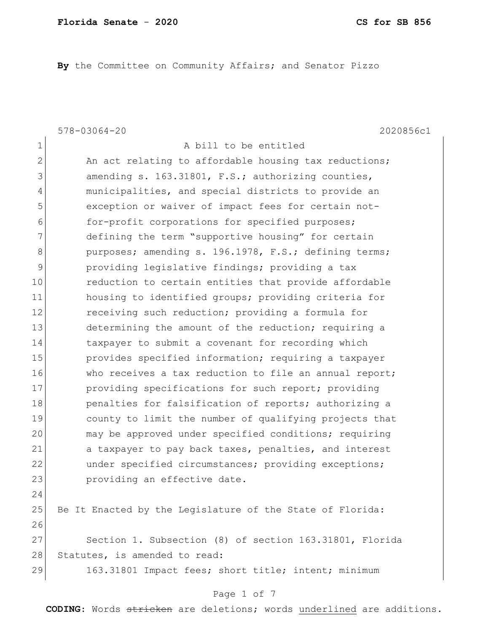**By** the Committee on Community Affairs; and Senator Pizzo

578-03064-20 2020856c1 1 a bill to be entitled 2 An act relating to affordable housing tax reductions; 3 amending s. 163.31801, F.S.; authorizing counties, 4 municipalities, and special districts to provide an 5 **EXECO** exception or waiver of impact fees for certain not-6 for-profit corporations for specified purposes; 7 defining the term "supportive housing" for certain 8 purposes; amending s. 196.1978, F.S.; defining terms; 9 providing legislative findings; providing a tax 10 **10** reduction to certain entities that provide affordable 11 housing to identified groups; providing criteria for 12 receiving such reduction; providing a formula for 13 determining the amount of the reduction; requiring a 14 taxpayer to submit a covenant for recording which 15 provides specified information; requiring a taxpayer 16 Who receives a tax reduction to file an annual report; 17 providing specifications for such report; providing 18 **penalties for falsification of reports; authorizing a** 19 county to limit the number of qualifying projects that 20 may be approved under specified conditions; requiring 21 a taxpayer to pay back taxes, penalties, and interest 22 ander specified circumstances; providing exceptions; 23 providing an effective date. 24 25 Be It Enacted by the Legislature of the State of Florida: 26 27 Section 1. Subsection (8) of section 163.31801, Florida 28 Statutes, is amended to read: 29 163.31801 Impact fees; short title; intent; minimum

#### Page 1 of 7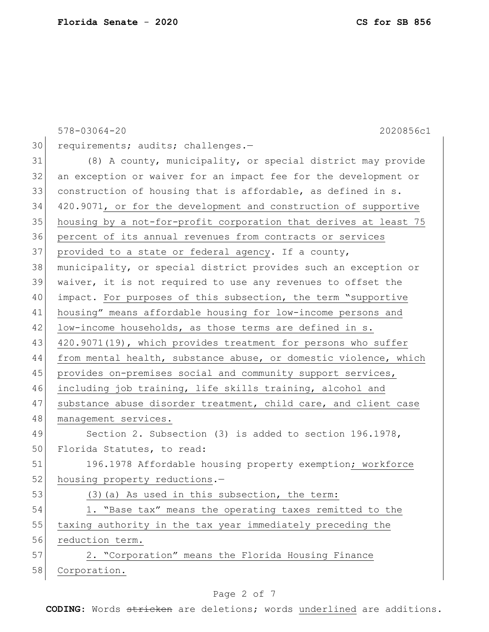|    | $578 - 03064 - 20$<br>2020856c1                                  |
|----|------------------------------------------------------------------|
| 30 | requirements; audits; challenges.-                               |
| 31 | (8) A county, municipality, or special district may provide      |
| 32 | an exception or waiver for an impact fee for the development or  |
| 33 | construction of housing that is affordable, as defined in s.     |
| 34 | 420.9071, or for the development and construction of supportive  |
| 35 | housing by a not-for-profit corporation that derives at least 75 |
| 36 | percent of its annual revenues from contracts or services        |
| 37 | provided to a state or federal agency. If a county,              |
| 38 | municipality, or special district provides such an exception or  |
| 39 | waiver, it is not required to use any revenues to offset the     |
| 40 | impact. For purposes of this subsection, the term "supportive    |
| 41 | housing" means affordable housing for low-income persons and     |
| 42 | low-income households, as those terms are defined in s.          |
| 43 | 420.9071(19), which provides treatment for persons who suffer    |
| 44 | from mental health, substance abuse, or domestic violence, which |
| 45 | provides on-premises social and community support services,      |
| 46 | including job training, life skills training, alcohol and        |
| 47 | substance abuse disorder treatment, child care, and client case  |
| 48 | management services.                                             |
| 49 | Section 2. Subsection (3) is added to section 196.1978,          |
| 50 | Florida Statutes, to read:                                       |
| 51 | 196.1978 Affordable housing property exemption; workforce        |
| 52 | housing property reductions.-                                    |
| 53 | (3) (a) As used in this subsection, the term:                    |
| 54 | 1. "Base tax" means the operating taxes remitted to the          |
| 55 | taxing authority in the tax year immediately preceding the       |
| 56 | reduction term.                                                  |
| 57 | 2. "Corporation" means the Florida Housing Finance               |
| 58 | Corporation.                                                     |
|    |                                                                  |

# Page 2 of 7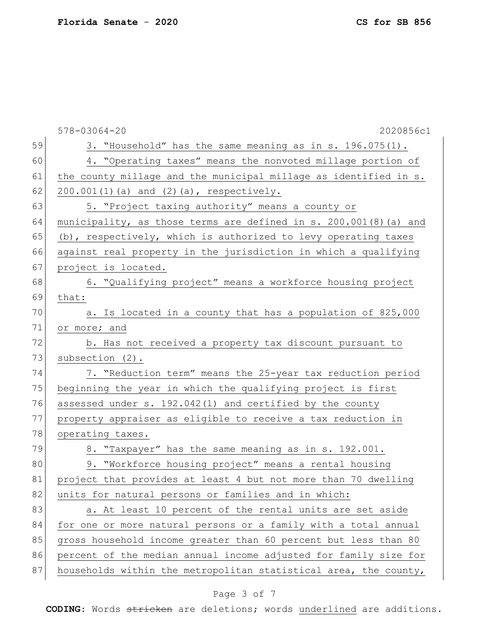578-03064-20 2020856c1 59 3. "Household" has the same meaning as in s. 196.075(1). 60 4. "Operating taxes" means the nonvoted millage portion of 61 the county millage and the municipal millage as identified in s. 62 200.001(1)(a) and  $(2)$  (a), respectively. 63 5. "Project taxing authority" means a county or 64 municipality, as those terms are defined in s. 200.001(8) (a) and 65 (b), respectively, which is authorized to levy operating taxes 66 against real property in the jurisdiction in which a qualifying 67 project is located. 68 6. "Qualifying project" means a workforce housing project 69 that: 70 a. Is located in a county that has a population of 825,000 71 or more; and 72 b. Has not received a property tax discount pursuant to 73 subsection (2). 74 7. "Reduction term" means the 25-year tax reduction period 75 beginning the year in which the qualifying project is first 76 assessed under s. 192.042(1) and certified by the county 77 property appraiser as eligible to receive a tax reduction in 78 operating taxes. 79 8. "Taxpayer" has the same meaning as in s. 192.001. 80 9. "Workforce housing project" means a rental housing 81 project that provides at least 4 but not more than 70 dwelling 82 units for natural persons or families and in which: 83 a. At least 10 percent of the rental units are set aside 84 for one or more natural persons or a family with a total annual 85 gross household income greater than 60 percent but less than 80 86 percent of the median annual income adjusted for family size for 87 households within the metropolitan statistical area, the county,

### Page 3 of 7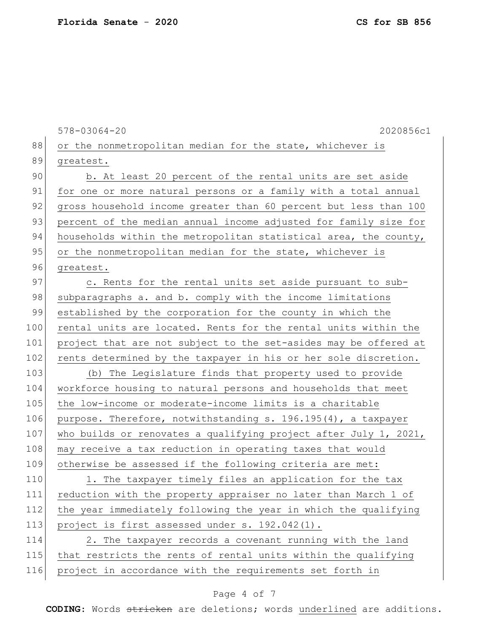578-03064-20 2020856c1 88 or the nonmetropolitan median for the state, whichever is 89 greatest. 90 b. At least 20 percent of the rental units are set aside 91 for one or more natural persons or a family with a total annual 92 gross household income greater than 60 percent but less than 100 93 percent of the median annual income adjusted for family size for 94 households within the metropolitan statistical area, the county, 95 or the nonmetropolitan median for the state, whichever is 96 greatest. 97 c. Rents for the rental units set aside pursuant to sub-98 subparagraphs a. and b. comply with the income limitations 99 established by the corporation for the county in which the 100 rental units are located. Rents for the rental units within the 101 project that are not subject to the set-asides may be offered at 102 rents determined by the taxpayer in his or her sole discretion. 103 (b) The Legislature finds that property used to provide 104 workforce housing to natural persons and households that meet 105 the low-income or moderate-income limits is a charitable 106 purpose. Therefore, notwithstanding s. 196.195(4), a taxpayer 107 who builds or renovates a qualifying project after July 1, 2021, 108 may receive a tax reduction in operating taxes that would 109 otherwise be assessed if the following criteria are met: 110 1. The taxpayer timely files an application for the tax 111 reduction with the property appraiser no later than March 1 of 112 the year immediately following the year in which the qualifying 113 project is first assessed under s. 192.042(1). 114 2. The taxpayer records a covenant running with the land 115 that restricts the rents of rental units within the qualifying 116 project in accordance with the requirements set forth in

### Page 4 of 7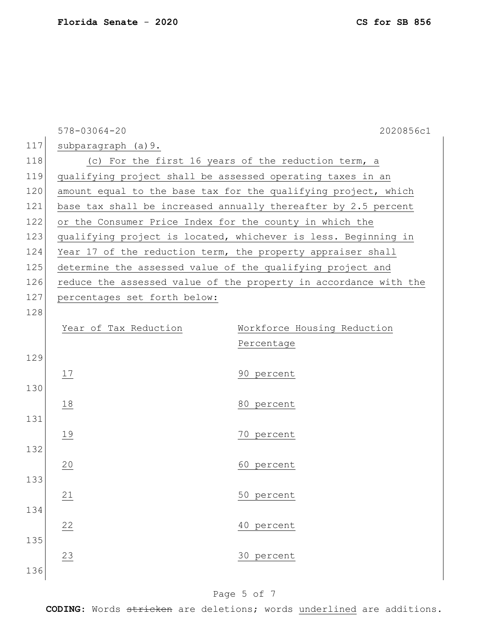|     | $578 - 03064 - 20$                                             | 2020856c1                                                        |  |
|-----|----------------------------------------------------------------|------------------------------------------------------------------|--|
| 117 | subparagraph (a) 9.                                            |                                                                  |  |
| 118 |                                                                | (c) For the first 16 years of the reduction term, a              |  |
| 119 |                                                                | qualifying project shall be assessed operating taxes in an       |  |
| 120 | amount equal to the base tax for the qualifying project, which |                                                                  |  |
| 121 | base tax shall be increased annually thereafter by 2.5 percent |                                                                  |  |
| 122 | or the Consumer Price Index for the county in which the        |                                                                  |  |
| 123 |                                                                | qualifying project is located, whichever is less. Beginning in   |  |
| 124 |                                                                | Year 17 of the reduction term, the property appraiser shall      |  |
| 125 |                                                                | determine the assessed value of the qualifying project and       |  |
| 126 |                                                                | reduce the assessed value of the property in accordance with the |  |
| 127 | percentages set forth below:                                   |                                                                  |  |
| 128 |                                                                |                                                                  |  |
|     | Year of Tax Reduction                                          | Workforce Housing Reduction                                      |  |
|     |                                                                | Percentage                                                       |  |
| 129 |                                                                |                                                                  |  |
|     | 17                                                             | 90 percent                                                       |  |
| 130 |                                                                |                                                                  |  |
|     | 18                                                             | 80 percent                                                       |  |
| 131 |                                                                |                                                                  |  |
|     | 19                                                             | 70 percent                                                       |  |
| 132 |                                                                |                                                                  |  |
|     | 20                                                             | 60 percent                                                       |  |
| 133 |                                                                |                                                                  |  |
|     | 21                                                             | 50 percent                                                       |  |
| 134 |                                                                |                                                                  |  |
|     | 22                                                             | 40 percent                                                       |  |
| 135 |                                                                |                                                                  |  |
|     | 23                                                             | 30 percent                                                       |  |
| 136 |                                                                |                                                                  |  |

# Page 5 of 7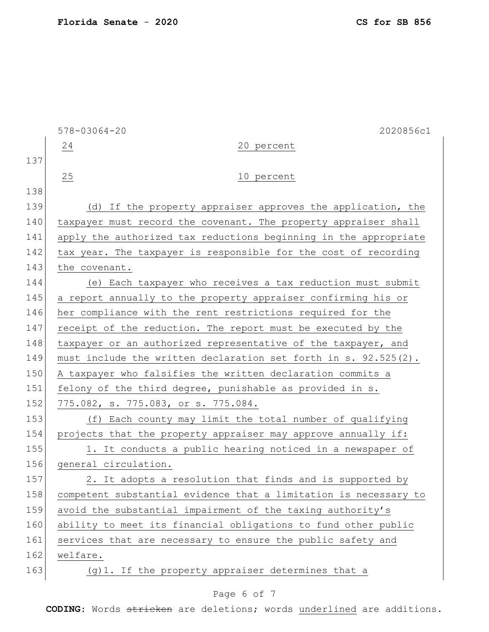| CS for SB 856 |  |  |  |  |
|---------------|--|--|--|--|
|---------------|--|--|--|--|

|     | $578 - 03064 - 20$<br>2020856c1                                    |
|-----|--------------------------------------------------------------------|
|     | 24<br>20 percent                                                   |
| 137 |                                                                    |
|     | 25<br>10 percent                                                   |
| 138 |                                                                    |
| 139 | (d) If the property appraiser approves the application, the        |
| 140 | taxpayer must record the covenant. The property appraiser shall    |
| 141 | apply the authorized tax reductions beginning in the appropriate   |
| 142 | tax year. The taxpayer is responsible for the cost of recording    |
| 143 | the covenant.                                                      |
| 144 | (e) Each taxpayer who receives a tax reduction must submit         |
| 145 | a report annually to the property appraiser confirming his or      |
| 146 | her compliance with the rent restrictions required for the         |
| 147 | receipt of the reduction. The report must be executed by the       |
| 148 | taxpayer or an authorized representative of the taxpayer, and      |
| 149 | must include the written declaration set forth in s. $92.525(2)$ . |
| 150 | A taxpayer who falsifies the written declaration commits a         |
| 151 | felony of the third degree, punishable as provided in s.           |
| 152 | 775.082, s. 775.083, or s. 775.084.                                |
| 153 | (f) Each county may limit the total number of qualifying           |
| 154 | projects that the property appraiser may approve annually if:      |
| 155 | 1. It conducts a public hearing noticed in a newspaper of          |
| 156 | general circulation.                                               |
| 157 | 2. It adopts a resolution that finds and is supported by           |
| 158 | competent substantial evidence that a limitation is necessary to   |
| 159 | avoid the substantial impairment of the taxing authority's         |
| 160 | ability to meet its financial obligations to fund other public     |
| 161 | services that are necessary to ensure the public safety and        |
| 162 | welfare.                                                           |
| 163 | (g) 1. If the property appraiser determines that a                 |
|     |                                                                    |

# Page 6 of 7